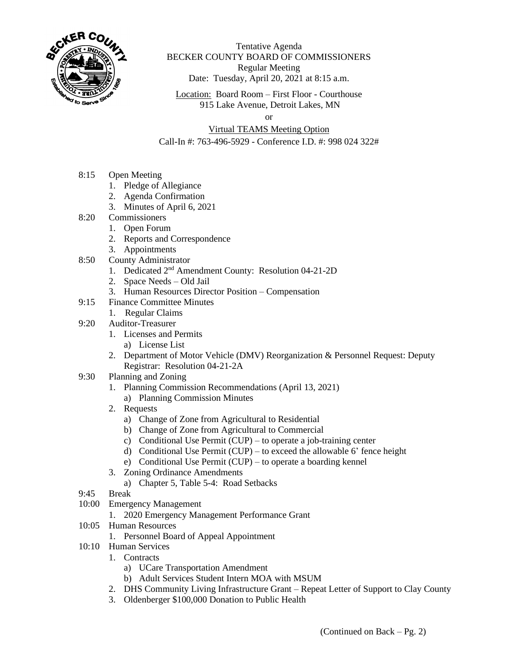

Tentative Agenda BECKER COUNTY BOARD OF COMMISSIONERS Regular Meeting Date: Tuesday, April 20, 2021 at 8:15 a.m.

Location: Board Room – First Floor - Courthouse 915 Lake Avenue, Detroit Lakes, MN

or

## Virtual TEAMS Meeting Option

Call-In #: 763-496-5929 - Conference I.D. #: 998 024 322#

- 8:15 Open Meeting
	- 1. Pledge of Allegiance
	- 2. Agenda Confirmation
	- 3. Minutes of April 6, 2021
- 8:20 Commissioners
	- 1. Open Forum
	- 2. Reports and Correspondence
	- 3. Appointments
- 8:50 County Administrator
	- 1. Dedicated 2nd Amendment County: Resolution 04-21-2D
	- 2. Space Needs Old Jail
	- 3. Human Resources Director Position Compensation
- 9:15 Finance Committee Minutes
	- 1. Regular Claims
- 9:20 Auditor-Treasurer
	- 1. Licenses and Permits
		- a) License List
	- 2. Department of Motor Vehicle (DMV) Reorganization & Personnel Request: Deputy Registrar: Resolution 04-21-2A
- 9:30 Planning and Zoning
	- 1. Planning Commission Recommendations (April 13, 2021)
		- a) Planning Commission Minutes
	- 2. Requests
		- a) Change of Zone from Agricultural to Residential
		- b) Change of Zone from Agricultural to Commercial
		- c) Conditional Use Permit (CUP) to operate a job-training center
		- d) Conditional Use Permit (CUP) to exceed the allowable 6' fence height
		- e) Conditional Use Permit (CUP) to operate a boarding kennel
	- 3. Zoning Ordinance Amendments
		- a) Chapter 5, Table 5-4: Road Setbacks
- 9:45 Break
- 10:00 Emergency Management
	- 1. 2020 Emergency Management Performance Grant
- 10:05 Human Resources
	- 1. Personnel Board of Appeal Appointment
- 10:10 Human Services
	- 1. Contracts
		- a) UCare Transportation Amendment
		- b) Adult Services Student Intern MOA with MSUM
	- 2. DHS Community Living Infrastructure Grant Repeat Letter of Support to Clay County
	- 3. Oldenberger \$100,000 Donation to Public Health